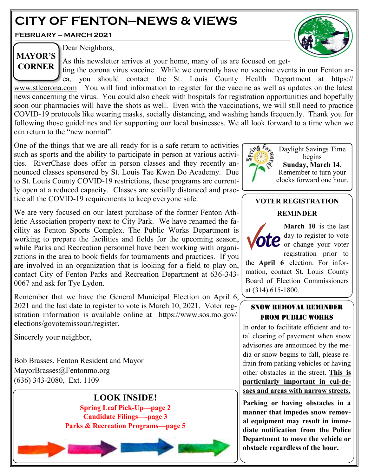# **CITY OF FENTON—NEWS & VIEWS**

**FEBRUARY — MARCH 2021**



**MAYOR'S CORNER** Dear Neighbors,

As this newsletter arrives at your home, many of us are focused on get-

ting the corona virus vaccine. While we currently have no vaccine events in our Fenton area, you should contact the St. Louis County Health Department at https:// [www.stlcorona.com](http://www.stlcorona.com) You will find information to register for the vaccine as well as updates on the latest news concerning the virus. You could also check with hospitals for registration opportunities and hopefully soon our pharmacies will have the shots as well. Even with the vaccinations, we will still need to practice COVID-19 protocols like wearing masks, socially distancing, and washing hands frequently. Thank you for following those guidelines and for supporting our local businesses. We all look forward to a time when we can return to the "new normal".

One of the things that we are all ready for is a safe return to activities such as sports and the ability to participate in person at various activities. RiverChase does offer in person classes and they recently announced classes sponsored by St. Louis Tae Kwan Do Academy. Due to St. Louis County COVID-19 restrictions, these programs are currently open at a reduced capacity. Classes are socially distanced and practice all the COVID-19 requirements to keep everyone safe.

We are very focused on our latest purchase of the former Fenton Athletic Association property next to City Park. We have renamed the facility as Fenton Sports Complex. The Public Works Department is working to prepare the facilities and fields for the upcoming season, while Parks and Recreation personnel have been working with organizations in the area to book fields for tournaments and practices. If you are involved in an organization that is looking for a field to play on, contact City of Fenton Parks and Recreation Department at 636-343- 0067 and ask for Tye Lydon.

Remember that we have the General Municipal Election on April 6, 2021 and the last date to register to vote is March 10, 2021. Voter registration information is available online at https://www.sos.mo.gov/ elections/govotemissouri/register.

Sincerely your neighbor,

Bob Brasses, Fenton Resident and Mayor MayorBrasses@Fentonmo.org (636) 343-2080, Ext. 1109





Daylight Savings Time begins **Sunday, March 14**. Remember to turn your clocks forward one hour.

## **VOTER REGISTRATION**

## **REMINDER**

**March 10** is the last day to register to vote or change your voter registration prior to

the **April 6** election. For information, contact St. Louis County Board of Election Commissioners at (314) 615-1800.

## SNOW REMOVAL REMINDER FROM PUBLIC WORKS

In order to facilitate efficient and total clearing of pavement when snow advisories are announced by the media or snow begins to fall, please refrain from parking vehicles or having other obstacles in the street. **This is particularly important in cul-desacs and areas with narrow streets.**

**Parking or having obstacles in a manner that impedes snow removal equipment may result in immediate notification from the Police Department to move the vehicle or obstacle regardless of the hour.**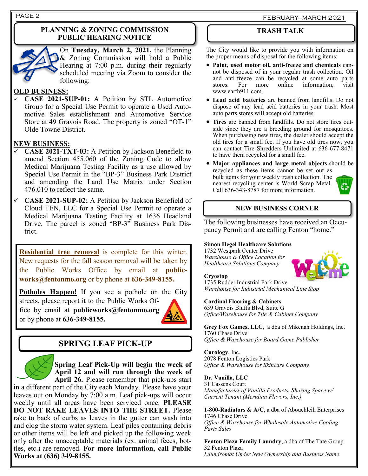#### **PLANNING & ZONING COMMISSION PUBLIC HEARING NOTICE**



On **Tuesday, March 2, 2021,** the Planning & Zoning Commission will hold a Public Hearing at 7:00 p.m. during their regularly scheduled meeting via Zoom to consider the following:

#### **OLD BUSINESS:**

✓ **CASE 2021-SUP-01:** A Petition by STL Automotive Group for a Special Use Permit to operate a Used Automotive Sales establishment and Automotive Service Store at 49 Gravois Road. The property is zoned "OT-1" Olde Towne District.

### **NEW BUSINESS:**

- ✓ **CASE 2021-TXT-03:** A Petition by Jackson Benefield to amend Section 455.060 of the Zoning Code to allow Medical Marijuana Testing Facility as a use allowed by Special Use Permit in the "BP-3" Business Park District and amending the Land Use Matrix under Section 476.010 to reflect the same.
- ✓ **CASE 2021-SUP-02:** A Petition by Jackson Benefield of Cloud TEN, LLC for a Special Use Permit to operate a Medical Marijuana Testing Facility at 1636 Headland Drive. The parcel is zoned "BP-3" Business Park District.

**Residential tree removal** is complete for this winter. New requests for the fall season removal will be taken by the Public Works Office by email at **publicworks@fentonmo.org** or by phone at **636-349-8155.**

**Potholes Happen!** If you see a pothole on the City streets, please report it to the Public Works Office by email at **publicworks@fentonmo.org** or by phone at **636-349-8155.**



## **SPRING LEAF PICK-UP**

**Spring Leaf Pick-Up will begin the week of April 12 and will run through the week of April 26.** Please remember that pick-ups start

in a different part of the City each Monday. Please have your leaves out on Monday by 7:00 a.m. Leaf pick-ups will occur weekly until all areas have been serviced once. **PLEASE DO NOT RAKE LEAVES INTO THE STREET.** Please rake to back of curbs as leaves in the gutter can wash into and clog the storm water system. Leaf piles containing debris or other items will be left and picked up the following week only after the unacceptable materials (ex. animal feces, bottles, etc.) are removed. **For more information, call Public Works at (636) 349-8155.**

## **TRASH TALK**

The City would like to provide you with information on the proper means of disposal for the following items:

- **Paint, used motor oil, anti-freeze and chemicals** cannot be disposed of in your regular trash collection. Oil and anti-freeze can be recycled at some auto parts stores. For more online information, visit www.earth911.com.
- **Lead acid batteries** are banned from landfills. Do not dispose of any lead acid batteries in your trash. Most auto parts stores will accept old batteries.
- **Tires** are banned from landfills. Do not store tires outside since they are a breeding ground for mosquitoes. When purchasing new tires, the dealer should accept the old tires for a small fee. If you have old tires now, you can contact Tire Shredders Unlimited at 636-677-8471 to have them recycled for a small fee.
- **Major appliances and large metal objects** should be recycled as these items cannot be set out as bulk items for your weekly trash collection. The nearest recycling center is World Scrap Metal. 8 Call 636-343-8787 for more information.



## **NEW BUSINESS CORNER**

The following businesses have received an Occupancy Permit and are calling Fenton "home."

#### **Simon Hegel Healthcare Solutions**

1732 Westpark Center Drive *Warehouse & Office Location for Healthcare Solutions Company*



#### **Cryostop**

1735 Rudder Industrial Park Drive *Warehouse for Industrial Mechanical Line Stop*

#### **Cardinal Flooring & Cabinets**

639 Gravois Bluffs Blvd, Suite G *Office/Warehouse for Tile & Cabinet Company*

**Grey Fox Games, LLC**, a dba of Mikenah Holdings, Inc. 1760 Chase Drive *Office & Warehouse for Board Game Publisher* 

**Curology**, Inc. 2078 Fenton Logistics Park *Office & Warehouse for Skincare Company*

**Dr. Vanilla, LLC**

31 Cassens Court *Manufacturers of Vanilla Products. Sharing Space w/ Current Tenant (Meridian Flavors, Inc.)*

**1-800-Radiators & A/C**, a dba of Abouchleih Enterprises 1746 Chase Drive *Office & Warehouse for Wholesale Automotive Cooling Parts Sales* 

**Fenton Plaza Family Laundry**, a dba of The Tate Group 32 Fenton Plaza *Laundromat Under New Ownership and Business Name*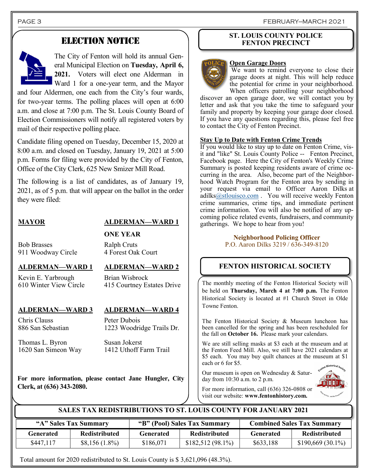## ELECTION NOTICE



The City of Fenton will hold its annual General Municipal Election on **Tuesday, April 6, 2021.** Voters will elect one Alderman in Ward 1 for a one-year term, and the Mayor

and four Aldermen, one each from the City's four wards, for two-year terms. The polling places will open at 6:00 a.m. and close at 7:00 p.m. The St. Louis County Board of Election Commissioners will notify all registered voters by mail of their respective polling place.

Candidate filing opened on Tuesday, December 15, 2020 at 8:00 a.m. and closed on Tuesday, January 19, 2021 at 5:00 p.m. Forms for filing were provided by the City of Fenton, Office of the City Clerk, 625 New Smizer Mill Road.

The following is a list of candidates, as of January 19, 2021, as of 5 p.m. that will appear on the ballot in the order they were filed:

## **MAYOR ALDERMAN—WARD 1**

**ONE YEAR** Ralph Cruts

Bob Brasses 911 Woodway Circle

## **ALDERMAN—WARD 1 ALDERMAN—WARD 2**

Kevin E. Yarbrough 610 Winter View Circle

4 Forest Oak Court

Brian Wisbrock 415 Courtney Estates Drive

## **ALDERMAN—WARD 3 ALDERMAN—WARD 4**

Chris Clauss 886 San Sebastian

Peter Dubois 1223 Woodridge Trails Dr.

Thomas L. Byron 1620 San Simeon Way Susan Jokerst 1412 Uthoff Farm Trail

**For more information, please contact Jane Hungler, City Clerk, at (636) 343-2080.**

### **ST. LOUIS COUNTY POLICE FENTON PRECINCT**

#### **Open Garage Doors**

We want to remind everyone to close their garage doors at night. This will help reduce the potential for crime in your neighborhood. When officers patrolling your neighborhood

discover an open garage door, we will contact you by letter and ask that you take the time to safeguard your family and property by keeping your garage door closed. If you have any questions regarding this, please feel free to contact the City of Fenton Precinct.

#### **Stay Up to Date with Fenton Crime Trends**

If you would like to stay up to date on Fenton Crime, visit and "like" St. Louis County Police -- Fenton Precinct, Facebook page. Here the City of Fenton's Weekly Crime Summary is posted keeping residents aware of crime occurring in the area. Also, become part of the Neighborhood Watch Program for the Fenton area by sending in your request via email to Officer Aaron Dilks at adilk[s@stlouisco.com](mailto:Jweston@stlouisco.com) . You will receive weekly Fenton crime summaries, crime tips, and immediate pertinent crime information. You will also be notified of any upcoming police related events, fundraisers, and community gatherings. We hope to hear from you!

#### **Neighborhood Policing Officer** P.O. Aaron Dilks 3219 / 636-349-8120

## **FENTON HISTORICAL SOCIETY**

The monthly meeting of the Fenton Historical Society will be held on **Thursday, March 4 at 7:00 p.m.** The Fenton Historical Society is located at #1 Church Street in Olde Towne Fenton.

The Fenton Historical Society & Museum luncheon has been cancelled for the spring and has been rescheduled for the fall on **October 16.** Please mark your calendars.

We are still selling masks at \$3 each at the museum and at the Fenton Feed Mill. Also, we still have 2021 calendars at \$5 each. You may buy quilt chances at the museum at \$1 each or 6 for \$5.

Our museum is open on Wednesday & Saturday from 10:30 a.m. to 2 p.m.



For more information, call (636) 326-0808 or visit our website: **www.fentonhistory.com.**

## **SALES TAX REDISTRIBUTIONS TO ST. LOUIS COUNTY FOR JANUARY 2021**

| "A" Sales Tax Summary |                      | "B" (Pool) Sales Tax Summary |                      | <b>Combined Sales Tax Summary</b> |                      |
|-----------------------|----------------------|------------------------------|----------------------|-----------------------------------|----------------------|
| Generated             | <b>Redistributed</b> | Generated                    | <b>Redistributed</b> | <b>Generated</b>                  | <b>Redistributed</b> |
| \$447,117             | $$8,156(1.8\%)$      | \$186,071                    | $$182,512(98.1\%)$   | \$633,188                         | $$190,669(30.1\%)$   |

Total amount for 2020 redistributed to St. Louis County is \$ 3,621,096 (48.3%).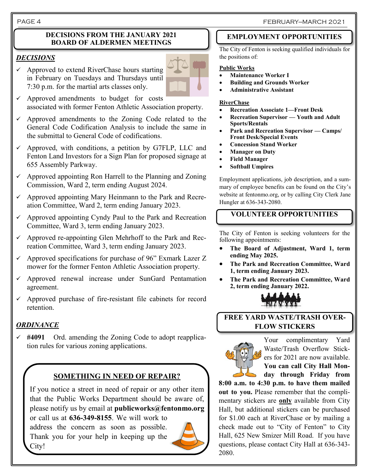#### **DECISIONS FROM THE JANUARY 2021 BOARD OF ALDERMEN MEETINGS**

## *DECISIONS*

 $\checkmark$  Approved to extend RiverChase hours starting in February on Tuesdays and Thursdays until 7:30 p.m. for the martial arts classes only.



- $\checkmark$  Approved amendments to budget for costs associated with former Fenton Athletic Association property.
- $\checkmark$  Approved amendments to the Zoning Code related to the General Code Codification Analysis to include the same in the submittal to General Code of codifications.
- $\checkmark$  Approved, with conditions, a petition by G7FLP, LLC and Fenton Land Investors for a Sign Plan for proposed signage at 655 Assembly Parkway.
- $\checkmark$  Approved appointing Ron Harrell to the Planning and Zoning Commission, Ward 2, term ending August 2024.
- $\checkmark$  Approved appointing Mary Heinmann to the Park and Recreation Committee, Ward 2, term ending January 2023.
- Approved appointing Cyndy Paul to the Park and Recreation Committee, Ward 3, term ending January 2023.
- $\checkmark$  Approved re-appointing Glen Mehrhoff to the Park and Recreation Committee, Ward 3, term ending January 2023.
- $\checkmark$  Approved specifications for purchase of 96" Exmark Lazer Z mower for the former Fenton Athletic Association property.
- $\checkmark$  Approved renewal increase under SunGard Pentamation agreement.
- $\checkmark$  Approved purchase of fire-resistant file cabinets for record retention.

## *ORDINANCE*

✓ **#4091** Ord. amending the Zoning Code to adopt reapplication rules for various zoning applications.

## **SOMETHING IN NEED OF REPAIR?**

If you notice a street in need of repair or any other item that the Public Works Department should be aware of, please notify us by email at **publicworks@fentonmo.org**

or call us at **636-349-8155**. We will work to address the concern as soon as possible. Thank you for your help in keeping up the City!



## **EMPLOYMENT OPPORTUNITIES**

The City of Fenton is seeking qualified individuals for the positions of:

## **Public Works**

- **Maintenance Worker I**
- **Building and Grounds Worker**
- **Administrative Assistant**

#### **RiverChase**

- **Recreation Associate 1—Front Desk**
- **Recreation Supervisor — Youth and Adult Sports/Rentals**
- **Park and Recreation Supervisor — Camps/ Front Desk/Special Events**
- **Concession Stand Worker**
- **Manager on Duty**
- **Field Manager**
- **Softball Umpires**

Employment applications, job description, and a summary of employee benefits can be found on the City's website at fentonmo.org, or by calling City Clerk Jane Hungler at 636-343-2080.

## **VOLUNTEER OPPORTUNITIES**

The City of Fenton is seeking volunteers for the following appointments:

- **The Board of Adjustment, Ward 1, term ending May 2025.**
- **The Park and Recreation Committee, Ward 1, term ending January 2023.**
- **The Park and Recreation Committee, Ward 2, term ending January 2022.**



## **FREE YARD WASTE/TRASH OVER-FLOW STICKERS**



Your complimentary Yard Waste/Trash Overflow Stickers for 2021 are now available. **You can call City Hall Monday through Friday from** 

**8:00 a.m. to 4:30 p.m. to have them mailed out to you.** Please remember that the complimentary stickers are **only** available from City Hall, but additional stickers can be purchased for \$1.00 each at RiverChase or by mailing a check made out to "City of Fenton" to City Hall, 625 New Smizer Mill Road. If you have questions, please contact City Hall at 636-343- 2080.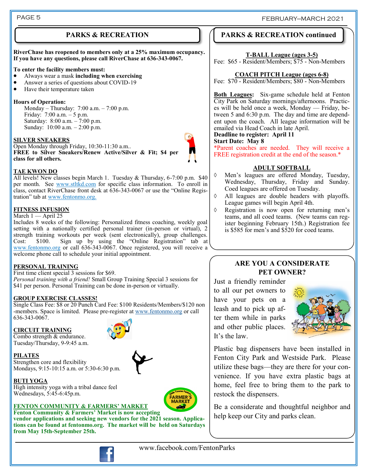## **PARKS & RECREATION**

**RiverChase has reopened to members only at a 25% maximum occupancy. If you have any questions, please call RiverChase at 636-343-0067.**

#### **To enter the facility members must:**

- Always wear a mask **including when exercising**
- Answer a series of questions about COVID-19
- Have their temperature taken

#### **Hours of Operation:**

Monday – Thursday: 7:00 a.m. – 7:00 p.m. Friday: 7:00 a.m. – 5 p.m. Saturday: 8:00 a.m. – 7:00 p.m. Sunday: 10:00 a.m. – 2:00 p.m.

#### **SILVER SNEAKERS**

Open Monday through Friday, 10:30-11:30 a.m.. **FREE to Silver Sneakers/Renew Active/Silver & Fit; \$4 per class for all others.**



#### **TAE KWON DO**

All levels! New classes begin March 1. Tuesday & Thursday, 6-7:00 p.m. \$40 per month. See www.stltkd.com for specific class information. To enroll in class, contact RiverChase front desk at 636-343-0067 or use the "Online Registration" tab at www.fentonmo.org.

#### **FITNESS INFUSION**

#### March 1 — April 25

Includes 8 weeks of the following: Personalized fitness coaching, weekly goal setting with a nationally certified personal trainer (in-person or virtual), 2 strength training workouts per week (sent electronically), group challenges. Cost: \$100. Sign up by using the "Online Registration" tab at www.fentonmo.org or call 636-343-0067. Once registered, you will receive a welcome phone call to schedule your initial appointment.

#### **PERSONAL TRAINING**

First time client special 3 sessions for \$69. *Personal training with a friend!* Small Group Training Special 3 sessions for \$41 per person. Personal Training can be done in-person or virtually.

#### **GROUP EXERCISE CLASSES!**

Single Class Fee: \$8 or 20 Punch Card Fee: \$100 Residents/Members/\$120 non -members. Space is limited. Please pre-register at [www.fentonmo.org](http://www.fentonmo.org) or call 636-343-0067.

#### **CIRCUIT TRAINING**

Combo strength & endurance. Tuesday/Thursday, 9-9:45 a.m.

Wednesdays, 5:45-6:45p.m.

#### **PILATES**

**BUTI YOGA**

Strengthen core and flexibility Mondays, 9:15-10:15 a.m. or 5:30-6:30 p.m.

High intensity yoga with a tribal dance feel





#### **FENTON COMMUNITY & FARMERS' MARKET Fenton Community & Farmers' Market is now accepting**

**vendor applications and seeking new vendors for the 2021 season. Applications can be found at fentonmo.org. The market will be held on Saturdays from May 15th-September 25th.**



## **PARKS & RECREATION continued**

#### **T-BALL League (ages 3-5)**

Fee: \$65 - Resident/Members; \$75 - Non-Members

#### **COACH PITCH League (ages 6-8)**

Fee: \$70 - Resident/Members; \$80 - Non-Members

**Both Leagues:** Six-game schedule held at Fenton City Park on Saturday mornings/afternoons. Practices will be held once a week, Monday — Friday, between 5 and 6:30 p.m. The day and time are dependent upon the coach. All league information will be emailed via Head Coach in late April.

## **Deadline to register: April 11**

#### **Start Date: May 8**

\*Parent coaches are needed. They will receive a FREE registration credit at the end of the season.\*

#### **ADULT SOFTBALL**

- Men's leagues are offered Monday, Tuesday, Wednesday, Thursday, Friday and Sunday. Coed leagues are offered on Tuesday.
- All leagues are double headers with playoffs. League games will begin April 4th.
- Registration is now open for returning men's teams, and all coed teams. (New teams can register beginning February 15th.) Registration fee is \$585 for men's and \$520 for coed teams.

## **ARE YOU A CONSIDERATE PET OWNER?**

Just a friendly reminder to all our pet owners to have your pets on a leash and to pick up after them while in parks and other public places. It's the law.



Plastic bag dispensers have been installed in Fenton City Park and Westside Park. Please utilize these bags—they are there for your convenience. If you have extra plastic bags at home, feel free to bring them to the park to restock the dispensers.

Be a considerate and thoughtful neighbor and help keep our City and parks clean.